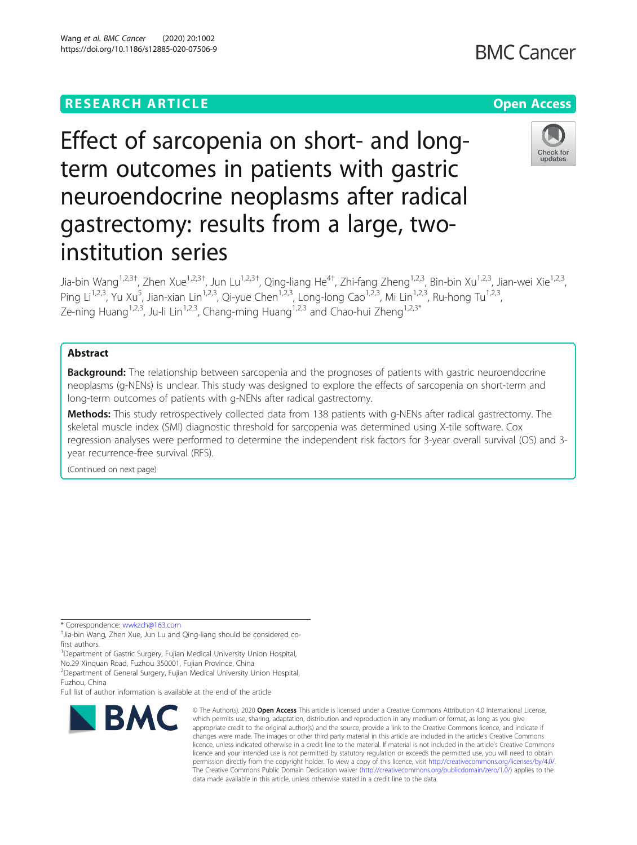# **RESEARCH ARTICLE Example 2014 12:30 The Contract of Contract ACCESS**

# Effect of sarcopenia on short- and longterm outcomes in patients with gastric neuroendocrine neoplasms after radical gastrectomy: results from a large, twoinstitution series

Jia-bin Wang<sup>1,2,3†</sup>, Zhen Xue<sup>1,2,3†</sup>, Jun Lu<sup>1,2,3†</sup>, Qing-liang He<sup>4†</sup>, Zhi-fang Zheng<sup>1,2,3</sup>, Bin-bin Xu<sup>1,2,3</sup>, Jian-wei Xie<sup>1,2,3</sup>, Ping Li<sup>1,2,3</sup>, Yu Xu<sup>5</sup>, Jian-xian Lin<sup>1,2,3</sup>, Qi-yue Chen<sup>1,2,3</sup>, Long-long Cao<sup>1,2,3</sup>, Mi Lin<sup>1,2,3</sup>, Ru-hong Tu<sup>1,2,3</sup>, Ze-ning Huang<sup>1,2,3</sup>, Ju-li Lin<sup>1,2,3</sup>, Chang-ming Huang<sup>1,2,3</sup> and Chao-hui Zheng<sup>1,2,3\*</sup>

# Abstract

Background: The relationship between sarcopenia and the prognoses of patients with gastric neuroendocrine neoplasms (g-NENs) is unclear. This study was designed to explore the effects of sarcopenia on short-term and long-term outcomes of patients with g-NENs after radical gastrectomy.

Methods: This study retrospectively collected data from 138 patients with g-NENs after radical gastrectomy. The skeletal muscle index (SMI) diagnostic threshold for sarcopenia was determined using X-tile software. Cox regression analyses were performed to determine the independent risk factors for 3-year overall survival (OS) and 3 year recurrence-free survival (RFS).

(Continued on next page)

\* Correspondence: [wwkzch@163.com](mailto:wwkzch@163.com) †

<sup>+</sup>Jia-bin Wang, Zhen Xue, Jun Lu and Qing-liang should be considered cofirst authors.

<sup>1</sup>Department of Gastric Surgery, Fujian Medical University Union Hospital, No.29 Xinquan Road, Fuzhou 350001, Fujian Province, China

2 Department of General Surgery, Fujian Medical University Union Hospital,

Fuzhou, China

Full list of author information is available at the end of the article

BMC

# Wang et al. BMC Cancer (2020) 20:1002 https://doi.org/10.1186/s12885-020-07506-9

which permits use, sharing, adaptation, distribution and reproduction in any medium or format, as long as you give appropriate credit to the original author(s) and the source, provide a link to the Creative Commons licence, and indicate if changes were made. The images or other third party material in this article are included in the article's Creative Commons licence, unless indicated otherwise in a credit line to the material. If material is not included in the article's Creative Commons licence and your intended use is not permitted by statutory regulation or exceeds the permitted use, you will need to obtain permission directly from the copyright holder. To view a copy of this licence, visit [http://creativecommons.org/licenses/by/4.0/.](http://creativecommons.org/licenses/by/4.0/) The Creative Commons Public Domain Dedication waiver [\(http://creativecommons.org/publicdomain/zero/1.0/](http://creativecommons.org/publicdomain/zero/1.0/)) applies to the

data made available in this article, unless otherwise stated in a credit line to the data.

© The Author(s), 2020 **Open Access** This article is licensed under a Creative Commons Attribution 4.0 International License,



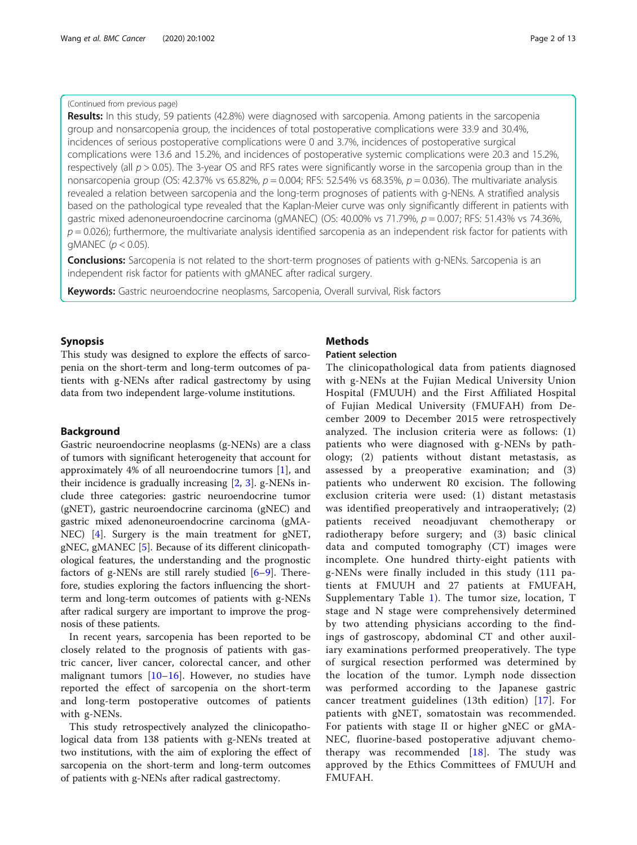# (Continued from previous page)

Results: In this study, 59 patients (42.8%) were diagnosed with sarcopenia. Among patients in the sarcopenia group and nonsarcopenia group, the incidences of total postoperative complications were 33.9 and 30.4%, incidences of serious postoperative complications were 0 and 3.7%, incidences of postoperative surgical complications were 13.6 and 15.2%, and incidences of postoperative systemic complications were 20.3 and 15.2%, respectively (all  $p > 0.05$ ). The 3-year OS and RFS rates were significantly worse in the sarcopenia group than in the nonsarcopenia group (OS: 42.37% vs 65.82%,  $p = 0.004$ ; RFS: 52.54% vs 68.35%,  $p = 0.036$ ). The multivariate analysis revealed a relation between sarcopenia and the long-term prognoses of patients with g-NENs. A stratified analysis based on the pathological type revealed that the Kaplan-Meier curve was only significantly different in patients with gastric mixed adenoneuroendocrine carcinoma (gMANEC) (OS: 40.00% vs 71.79%,  $p = 0.007$ ; RFS: 51.43% vs 74.36%,  $p = 0.026$ ); furthermore, the multivariate analysis identified sarcopenia as an independent risk factor for patients with gMANEC ( $p < 0.05$ ).

**Conclusions:** Sarcopenia is not related to the short-term prognoses of patients with g-NENs. Sarcopenia is an independent risk factor for patients with gMANEC after radical surgery.

Keywords: Gastric neuroendocrine neoplasms, Sarcopenia, Overall survival, Risk factors

# Synopsis

This study was designed to explore the effects of sarcopenia on the short-term and long-term outcomes of patients with g-NENs after radical gastrectomy by using data from two independent large-volume institutions.

# Background

Gastric neuroendocrine neoplasms (g-NENs) are a class of tumors with significant heterogeneity that account for approximately 4% of all neuroendocrine tumors [[1\]](#page-11-0), and their incidence is gradually increasing [\[2](#page-11-0), [3\]](#page-11-0). g-NENs include three categories: gastric neuroendocrine tumor (gNET), gastric neuroendocrine carcinoma (gNEC) and gastric mixed adenoneuroendocrine carcinoma (gMA-NEC) [[4\]](#page-11-0). Surgery is the main treatment for gNET, gNEC, gMANEC [[5](#page-11-0)]. Because of its different clinicopathological features, the understanding and the prognostic factors of g-NENs are still rarely studied [\[6](#page-11-0)–[9](#page-11-0)]. Therefore, studies exploring the factors influencing the shortterm and long-term outcomes of patients with g-NENs after radical surgery are important to improve the prognosis of these patients.

In recent years, sarcopenia has been reported to be closely related to the prognosis of patients with gastric cancer, liver cancer, colorectal cancer, and other malignant tumors  $[10-16]$  $[10-16]$  $[10-16]$  $[10-16]$ . However, no studies have reported the effect of sarcopenia on the short-term and long-term postoperative outcomes of patients with g-NENs.

This study retrospectively analyzed the clinicopathological data from 138 patients with g-NENs treated at two institutions, with the aim of exploring the effect of sarcopenia on the short-term and long-term outcomes of patients with g-NENs after radical gastrectomy.

# **Methods**

# Patient selection

The clinicopathological data from patients diagnosed with g-NENs at the Fujian Medical University Union Hospital (FMUUH) and the First Affiliated Hospital of Fujian Medical University (FMUFAH) from December 2009 to December 2015 were retrospectively analyzed. The inclusion criteria were as follows: (1) patients who were diagnosed with g-NENs by pathology; (2) patients without distant metastasis, as assessed by a preoperative examination; and (3) patients who underwent R0 excision. The following exclusion criteria were used: (1) distant metastasis was identified preoperatively and intraoperatively; (2) patients received neoadjuvant chemotherapy or radiotherapy before surgery; and (3) basic clinical data and computed tomography (CT) images were incomplete. One hundred thirty-eight patients with g-NENs were finally included in this study (111 patients at FMUUH and 27 patients at FMUFAH, Supplementary Table [1](#page-11-0)). The tumor size, location, T stage and N stage were comprehensively determined by two attending physicians according to the findings of gastroscopy, abdominal CT and other auxiliary examinations performed preoperatively. The type of surgical resection performed was determined by the location of the tumor. Lymph node dissection was performed according to the Japanese gastric cancer treatment guidelines (13th edition) [[17](#page-12-0)]. For patients with gNET, somatostain was recommended. For patients with stage II or higher gNEC or gMA-NEC, fluorine-based postoperative adjuvant chemotherapy was recommended  $[18]$  $[18]$  $[18]$ . The study was approved by the Ethics Committees of FMUUH and FMUFAH.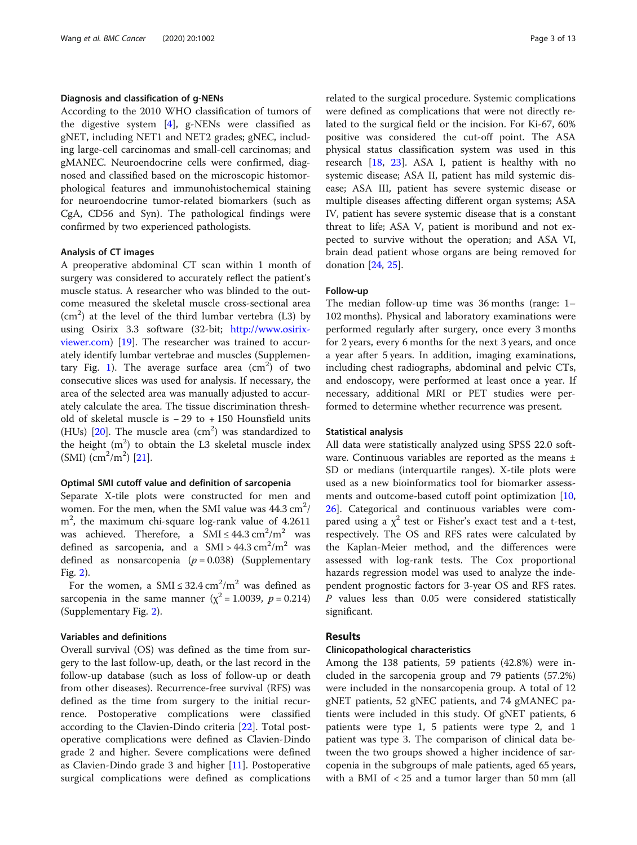### Diagnosis and classification of g-NENs

According to the 2010 WHO classification of tumors of the digestive system [\[4](#page-11-0)], g-NENs were classified as gNET, including NET1 and NET2 grades; gNEC, including large-cell carcinomas and small-cell carcinomas; and gMANEC. Neuroendocrine cells were confirmed, diagnosed and classified based on the microscopic histomorphological features and immunohistochemical staining for neuroendocrine tumor-related biomarkers (such as CgA, CD56 and Syn). The pathological findings were confirmed by two experienced pathologists.

### Analysis of CT images

A preoperative abdominal CT scan within 1 month of surgery was considered to accurately reflect the patient's muscle status. A researcher who was blinded to the outcome measured the skeletal muscle cross-sectional area  $(cm<sup>2</sup>)$  at the level of the third lumbar vertebra (L3) by using Osirix 3.3 software (32-bit; [http://www.osirix](http://www.osirix-viewer.com)[viewer.com\)](http://www.osirix-viewer.com) [\[19](#page-12-0)]. The researcher was trained to accurately identify lumbar vertebrae and muscles (Supplemen-tary Fig. [1](#page-11-0)). The average surface area  $\rm (cm^2)$  of two consecutive slices was used for analysis. If necessary, the area of the selected area was manually adjusted to accurately calculate the area. The tissue discrimination threshold of skeletal muscle is − 29 to + 150 Hounsfield units (HUs)  $[20]$  $[20]$  $[20]$ . The muscle area  $(cm<sup>2</sup>)$  was standardized to the height  $(m^2)$  to obtain the L3 skeletal muscle index  $(SMI)$   $(cm^2/m^2)$  [[21](#page-12-0)].

# Optimal SMI cutoff value and definition of sarcopenia

Separate X-tile plots were constructed for men and women. For the men, when the SMI value was  $44.3 \text{ cm}^2$ / m<sup>2</sup>, the maximum chi-square log-rank value of 4.2611 was achieved. Therefore, a  $SMI \leq 44.3 \text{ cm}^2/\text{m}^2$  was defined as sarcopenia, and a  $SMI > 44.3 \text{ cm}^2/\text{m}^2$  was defined as nonsarcopenia  $(p = 0.038)$  (Supplementary Fig. [2](#page-11-0)).

For the women, a SMI  $\leq 32.4 \text{ cm}^2/\text{m}^2$  was defined as sarcopenia in the same manner ( $\chi^2$  = 1.0039, p = 0.214) (Supplementary Fig. [2\)](#page-11-0).

# Variables and definitions

Overall survival (OS) was defined as the time from surgery to the last follow-up, death, or the last record in the follow-up database (such as loss of follow-up or death from other diseases). Recurrence-free survival (RFS) was defined as the time from surgery to the initial recurrence. Postoperative complications were classified according to the Clavien-Dindo criteria [\[22\]](#page-12-0). Total postoperative complications were defined as Clavien-Dindo grade 2 and higher. Severe complications were defined as Clavien-Dindo grade 3 and higher [[11\]](#page-11-0). Postoperative surgical complications were defined as complications related to the surgical procedure. Systemic complications were defined as complications that were not directly related to the surgical field or the incision. For Ki-67, 60% positive was considered the cut-off point. The ASA physical status classification system was used in this research [[18,](#page-12-0) [23](#page-12-0)]. ASA I, patient is healthy with no systemic disease; ASA II, patient has mild systemic disease; ASA III, patient has severe systemic disease or multiple diseases affecting different organ systems; ASA IV, patient has severe systemic disease that is a constant threat to life; ASA V, patient is moribund and not expected to survive without the operation; and ASA VI, brain dead patient whose organs are being removed for donation [\[24](#page-12-0), [25\]](#page-12-0).

## Follow-up

The median follow-up time was 36 months (range: 1– 102 months). Physical and laboratory examinations were performed regularly after surgery, once every 3 months for 2 years, every 6 months for the next 3 years, and once a year after 5 years. In addition, imaging examinations, including chest radiographs, abdominal and pelvic CTs, and endoscopy, were performed at least once a year. If necessary, additional MRI or PET studies were performed to determine whether recurrence was present.

# Statistical analysis

All data were statistically analyzed using SPSS 22.0 software. Continuous variables are reported as the means ± SD or medians (interquartile ranges). X-tile plots were used as a new bioinformatics tool for biomarker assessments and outcome-based cutoff point optimization [[10](#page-11-0), [26\]](#page-12-0). Categorical and continuous variables were compared using a  $\chi^2$  test or Fisher's exact test and a t-test, respectively. The OS and RFS rates were calculated by the Kaplan-Meier method, and the differences were assessed with log-rank tests. The Cox proportional hazards regression model was used to analyze the independent prognostic factors for 3-year OS and RFS rates. P values less than 0.05 were considered statistically significant.

# Results

#### Clinicopathological characteristics

Among the 138 patients, 59 patients (42.8%) were included in the sarcopenia group and 79 patients (57.2%) were included in the nonsarcopenia group. A total of 12 gNET patients, 52 gNEC patients, and 74 gMANEC patients were included in this study. Of gNET patients, 6 patients were type 1, 5 patients were type 2, and 1 patient was type 3. The comparison of clinical data between the two groups showed a higher incidence of sarcopenia in the subgroups of male patients, aged 65 years, with a BMI of < 25 and a tumor larger than 50 mm (all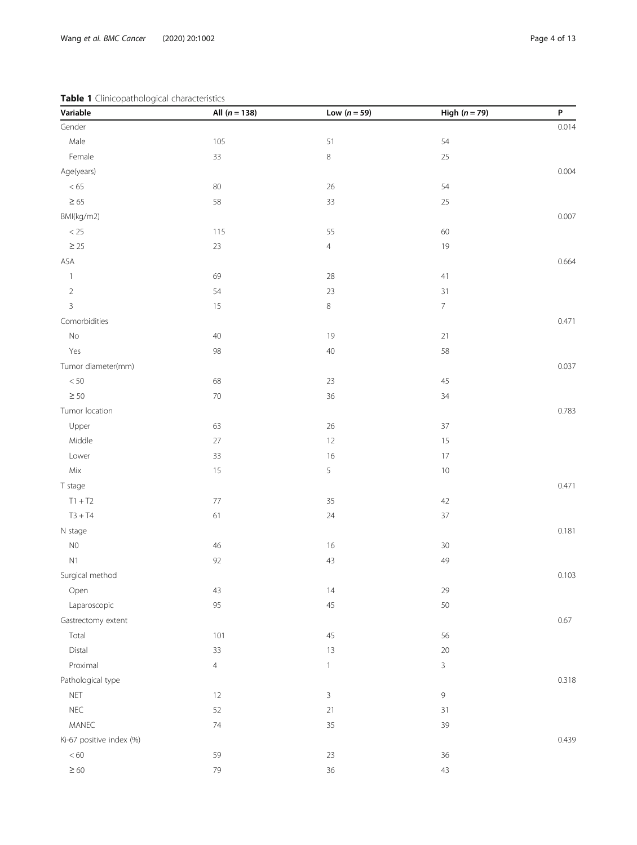# <span id="page-3-0"></span>Table 1 Clinicopathological characteristics

| Variable                 | All $(n = 138)$ | Low $(n = 59)$ | High $(n = 79)$ | P     |
|--------------------------|-----------------|----------------|-----------------|-------|
| Gender                   |                 |                |                 | 0.014 |
| Male                     | 105             | 51             | 54              |       |
| Female                   | 33              | $\,8\,$        | 25              |       |
| Age(years)               |                 |                |                 | 0.004 |
| $< 65\,$                 | $80\,$          | $26\,$         | 54              |       |
| $\geq 65$                | 58              | 33             | 25              |       |
| BMI(kg/m2)               |                 |                |                 | 0.007 |
| $<25\,$                  | 115             | 55             | 60              |       |
| $\geq 25$                | $23\,$          | $\overline{4}$ | 19              |       |
| ASA                      |                 |                |                 | 0.664 |
| $\overline{\phantom{a}}$ | 69              | 28             | 41              |       |
| $\sqrt{2}$               | 54              | 23             | 31              |       |
| $\mathbf{3}$             | 15              | $\,8\,$        | $\overline{7}$  |       |
| Comorbidities            |                 |                |                 | 0.471 |
| No                       | 40              | 19             | 21              |       |
| Yes                      | 98              | $40\,$         | 58              |       |
| Tumor diameter(mm)       |                 |                |                 | 0.037 |
| $<50\,$                  | 68              | 23             | 45              |       |
| $\geq 50$                | $70\,$          | 36             | 34              |       |
| Tumor location           |                 |                |                 | 0.783 |
| Upper                    | 63              | $26\,$         | 37              |       |
| Middle                   | 27              | $12\,$         | 15              |       |
| Lower                    | 33              | 16             | 17              |       |
| $\mathsf{Mix}$           | $15$            | 5              | $10$            |       |
| T stage                  |                 |                |                 | 0.471 |
| $T1 + T2$                | $77\,$          | 35             | 42              |       |
| $T3 + T4$                | 61              | $24\,$         | $37\,$          |       |
| N stage                  |                 |                |                 | 0.181 |
| ${\sf N0}$               | 46              | 16             | $30\,$          |       |
| N <sub>1</sub>           | 92              | 43             | 49              |       |
| Surgical method          |                 |                |                 | 0.103 |
| Open                     | 43              | 14             | 29              |       |
| Laparoscopic             | 95              | 45             | 50              |       |
| Gastrectomy extent       |                 |                |                 | 0.67  |
| Total                    | 101             | 45             | 56              |       |
| Distal                   | 33              | $13$           | 20              |       |
| Proximal                 | $\overline{4}$  | $\mathbf{1}$   | $\overline{3}$  |       |
| Pathological type        |                 |                |                 | 0.318 |
| NET                      | 12              | 3              | $\mathsf 9$     |       |
| ${\sf NEC}$              | 52              | 21             | 31              |       |
| MANEC                    | $74\,$          | 35             | 39              |       |
| Ki-67 positive index (%) |                 |                |                 | 0.439 |
| < 60                     | 59              | 23             | 36              |       |
| $\geq 60$                | 79              | 36             | 43              |       |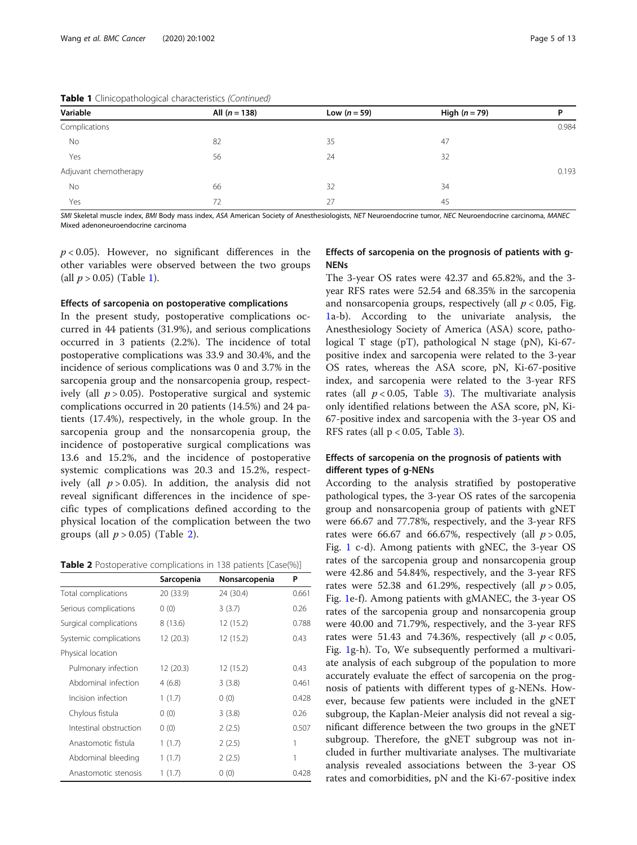| Variable              | All $(n = 138)$ | Low $(n = 59)$ | High $(n=79)$ | D     |  |
|-----------------------|-----------------|----------------|---------------|-------|--|
| Complications         |                 |                |               | 0.984 |  |
| No                    | 82              | 35             | 47            |       |  |
| Yes                   | 56              | 24             | 32            |       |  |
| Adjuvant chemotherapy |                 |                |               | 0.193 |  |
| No                    | 66              | 32             | 34            |       |  |
| Yes                   | 72              | 27             | 45            |       |  |

SMI Skeletal muscle index, BMI Body mass index, ASA American Society of Anesthesiologists, NET Neuroendocrine tumor, NEC Neuroendocrine carcinoma, MANEC Mixed adenoneuroendocrine carcinoma

 $p < 0.05$ ). However, no significant differences in the other variables were observed between the two groups (all  $p > 0.05$ ) (Table [1\)](#page-3-0).

# Effects of sarcopenia on postoperative complications

In the present study, postoperative complications occurred in 44 patients (31.9%), and serious complications occurred in 3 patients (2.2%). The incidence of total postoperative complications was 33.9 and 30.4%, and the incidence of serious complications was 0 and 3.7% in the sarcopenia group and the nonsarcopenia group, respectively (all  $p > 0.05$ ). Postoperative surgical and systemic complications occurred in 20 patients (14.5%) and 24 patients (17.4%), respectively, in the whole group. In the sarcopenia group and the nonsarcopenia group, the incidence of postoperative surgical complications was 13.6 and 15.2%, and the incidence of postoperative systemic complications was 20.3 and 15.2%, respectively (all  $p > 0.05$ ). In addition, the analysis did not reveal significant differences in the incidence of specific types of complications defined according to the physical location of the complication between the two groups (all  $p > 0.05$ ) (Table 2).

|  |  | <b>Table 2</b> Postoperative complications in 138 patients [Case(%)] |
|--|--|----------------------------------------------------------------------|
|--|--|----------------------------------------------------------------------|

|                        | Sarcopenia | Nonsarcopenia | P     |
|------------------------|------------|---------------|-------|
| Total complications    | 20 (33.9)  | 24 (30.4)     | 0.661 |
| Serious complications  | 0(0)       | 3(3.7)        | 0.26  |
| Surgical complications | 8(13.6)    | 12 (15.2)     | 0.788 |
| Systemic complications | 12 (20.3)  | 12 (15.2)     | 0.43  |
| Physical location      |            |               |       |
| Pulmonary infection    | 12 (20.3)  | 12 (15.2)     | 0.43  |
| Abdominal infection    | 4(6.8)     | 3(3.8)        | 0.461 |
| Incision infection     | 1(1.7)     | 0(0)          | 0.428 |
| Chylous fistula        | 0(0)       | 3(3.8)        | 0.26  |
| Intestinal obstruction | 0(0)       | 2(2.5)        | 0.507 |
| Anastomotic fistula    | 1(1.7)     | 2(2.5)        | 1     |
| Abdominal bleeding     | 1(1.7)     | 2(2.5)        | 1     |
| Anastomotic stenosis   | 1(1.7)     | 0(0)          | 0.428 |

# Effects of sarcopenia on the prognosis of patients with g-**NFNs**

The 3-year OS rates were 42.37 and 65.82%, and the 3 year RFS rates were 52.54 and 68.35% in the sarcopenia and nonsarcopenia groups, respectively (all  $p < 0.05$ , Fig. [1a](#page-5-0)-b). According to the univariate analysis, the Anesthesiology Society of America (ASA) score, pathological T stage (pT), pathological N stage (pN), Ki-67 positive index and sarcopenia were related to the 3-year OS rates, whereas the ASA score, pN, Ki-67-positive index, and sarcopenia were related to the 3-year RFS rates (all  $p < 0.05$ , Table [3](#page-6-0)). The multivariate analysis only identified relations between the ASA score, pN, Ki-67-positive index and sarcopenia with the 3-year OS and RFS rates (all  $p < 0.05$ , Table [3](#page-6-0)).

# Effects of sarcopenia on the prognosis of patients with different types of g-NENs

According to the analysis stratified by postoperative pathological types, the 3-year OS rates of the sarcopenia group and nonsarcopenia group of patients with gNET were 66.67 and 77.78%, respectively, and the 3-year RFS rates were 66.67 and 66.67%, respectively (all  $p > 0.05$ , Fig. [1](#page-5-0) c-d). Among patients with gNEC, the 3-year OS rates of the sarcopenia group and nonsarcopenia group were 42.86 and 54.84%, respectively, and the 3-year RFS rates were 52.38 and 61.29%, respectively (all  $p > 0.05$ , Fig. [1](#page-5-0)e-f). Among patients with gMANEC, the 3-year OS rates of the sarcopenia group and nonsarcopenia group were 40.00 and 71.79%, respectively, and the 3-year RFS rates were 51.43 and 74.36%, respectively (all  $p < 0.05$ , Fig. [1g](#page-5-0)-h). To, We subsequently performed a multivariate analysis of each subgroup of the population to more accurately evaluate the effect of sarcopenia on the prognosis of patients with different types of g-NENs. However, because few patients were included in the gNET subgroup, the Kaplan-Meier analysis did not reveal a significant difference between the two groups in the gNET subgroup. Therefore, the gNET subgroup was not included in further multivariate analyses. The multivariate analysis revealed associations between the 3-year OS rates and comorbidities, pN and the Ki-67-positive index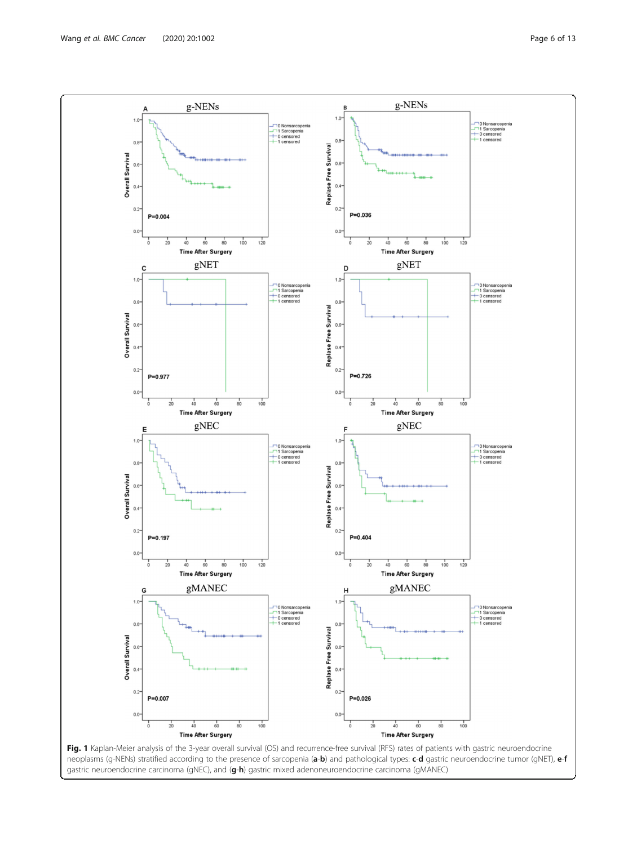<span id="page-5-0"></span>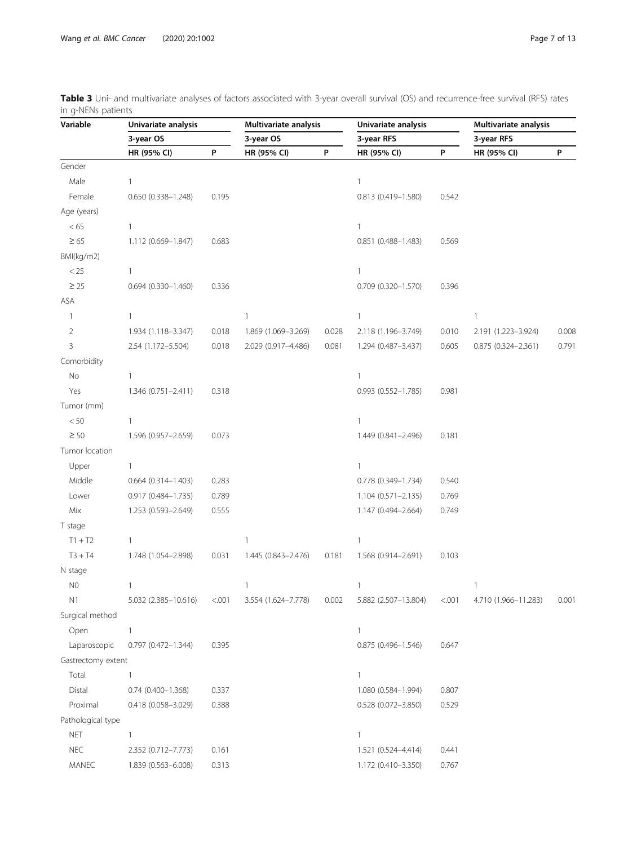| Variable<br>Multivariate analysis<br>Univariate analysis<br>Univariate analysis                           | Multivariate analysis<br>3-year RFS |       |
|-----------------------------------------------------------------------------------------------------------|-------------------------------------|-------|
| 3-year OS<br>3-year OS<br>3-year RFS                                                                      |                                     |       |
| P<br>P<br>P<br>HR (95% CI)<br>HR (95% CI)<br>HR (95% CI)                                                  | HR (95% CI)                         | P     |
| Gender                                                                                                    |                                     |       |
| Male<br>1<br>$\mathbf{1}$                                                                                 |                                     |       |
| Female<br>0.542<br>0.650 (0.338-1.248)<br>0.195<br>0.813 (0.419-1.580)                                    |                                     |       |
| Age (years)                                                                                               |                                     |       |
| < 65<br>$\mathbf{1}$<br>$\mathbf{1}$                                                                      |                                     |       |
| $\geq 65$<br>0.569<br>1.112 (0.669-1.847)<br>0.683<br>$0.851(0.488 - 1.483)$                              |                                     |       |
| BMI(kg/m2)                                                                                                |                                     |       |
| $<25\,$<br>1<br>$\mathbf{1}$                                                                              |                                     |       |
| $\geq 25$<br>$0.694(0.330 - 1.460)$<br>0.336<br>$0.709$ $(0.320 - 1.570)$<br>0.396                        |                                     |       |
| ASA                                                                                                       |                                     |       |
| $\mathbf{1}$<br>$\mathbf{1}$<br>$\mathbf{1}$<br>1                                                         | $\mathbf{1}$                        |       |
| 2<br>0.018<br>0.028<br>0.010<br>1.934 (1.118-3.347)<br>1.869 (1.069-3.269)<br>2.118 (1.196-3.749)         | 2.191 (1.223-3.924)                 | 0.008 |
| 3<br>0.018<br>0.081<br>0.605<br>2.54 (1.172-5.504)<br>2.029 (0.917-4.486)<br>1.294 (0.487-3.437)          | 0.875 (0.324-2.361)                 | 0.791 |
| Comorbidity                                                                                               |                                     |       |
| No<br>1<br>$\mathbf{1}$                                                                                   |                                     |       |
| Yes<br>1.346 (0.751-2.411)<br>0.981<br>0.318<br>$0.993(0.552 - 1.785)$                                    |                                     |       |
| Tumor (mm)                                                                                                |                                     |       |
| $< 50$<br>1<br>$\mathbf{1}$                                                                               |                                     |       |
| $\geq 50$<br>0.073<br>1.596 (0.957-2.659)<br>1.449 (0.841-2.496)<br>0.181                                 |                                     |       |
| Tumor location                                                                                            |                                     |       |
| Upper<br>1<br>$\mathbf{1}$                                                                                |                                     |       |
| Middle<br>0.540<br>$0.664$ $(0.314 - 1.403)$<br>0.283<br>0.778 (0.349-1.734)                              |                                     |       |
| Lower<br>0.917 (0.484-1.735)<br>0.789<br>$1.104(0.571 - 2.135)$<br>0.769                                  |                                     |       |
| Mix<br>0.749<br>1.253 (0.593-2.649)<br>0.555<br>1.147 (0.494-2.664)                                       |                                     |       |
| T stage                                                                                                   |                                     |       |
| $T1 + T2$<br>$\mathbf{1}$<br>$\mathbf{1}$<br>1                                                            |                                     |       |
| $T3 + T4$<br>0.031<br>1.748 (1.054-2.898)<br>1.445 (0.843-2.476)<br>0.181<br>1.568 (0.914-2.691)<br>0.103 |                                     |       |
| N stage                                                                                                   |                                     |       |
| N <sub>0</sub><br>$\mathbf{1}$<br>$\mathbb{1}$<br>$\mathbf{1}$                                            | $\mathbf{1}$                        |       |
| N1<br>5.032 (2.385-10.616)<br>< 001<br>3.554 (1.624-7.778)<br>0.002<br>5.882 (2.507-13.804)<br>< 0.001    | 4.710 (1.966-11.283)                | 0.001 |
| Surgical method                                                                                           |                                     |       |
| $\mathbf{1}$<br>$\mathbf{1}$<br>Open                                                                      |                                     |       |
| Laparoscopic<br>0.647<br>$0.797(0.472 - 1.344)$<br>0.395<br>$0.875(0.496 - 1.546)$                        |                                     |       |
| Gastrectomy extent                                                                                        |                                     |       |
| Total<br>$\mathbf{1}$<br>$\mathbf{1}$                                                                     |                                     |       |
| Distal<br>0.337<br>0.807<br>$0.74(0.400 - 1.368)$<br>1.080 (0.584-1.994)                                  |                                     |       |
| Proximal<br>0.418 (0.058-3.029)<br>0.388<br>$0.528(0.072 - 3.850)$<br>0.529                               |                                     |       |
| Pathological type                                                                                         |                                     |       |
| <b>NET</b><br>1<br>$\mathbf{1}$                                                                           |                                     |       |
| <b>NEC</b><br>0.441<br>2.352 (0.712-7.773)<br>0.161<br>1.521 (0.524-4.414)                                |                                     |       |
| MANEC<br>1.839 (0.563-6.008)<br>0.313<br>1.172 (0.410-3.350)<br>0.767                                     |                                     |       |

<span id="page-6-0"></span>Table 3 Uni- and multivariate analyses of factors associated with 3-year overall survival (OS) and recurrence-free survival (RFS) rates in g-NENs patients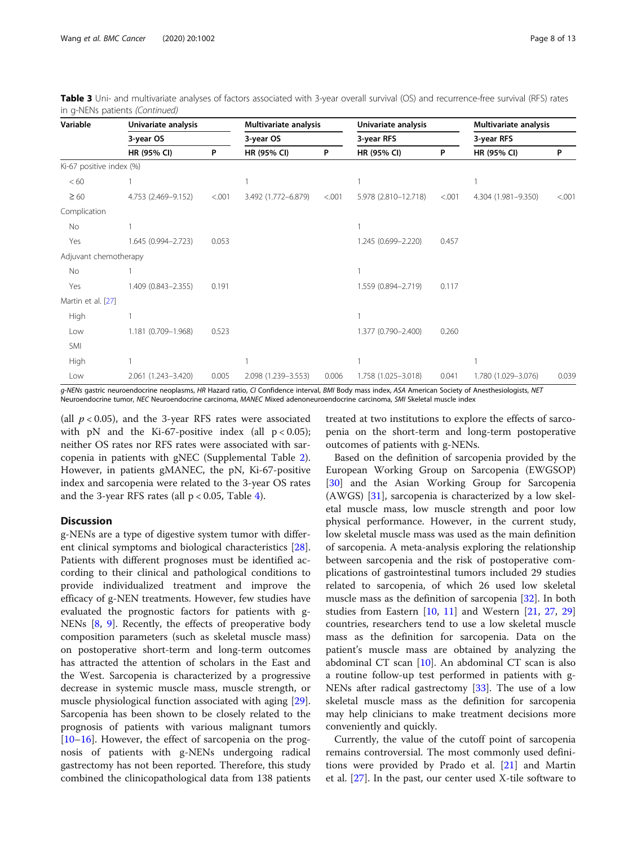| Variable                 | Univariate analysis |        | Multivariate analysis |           | Univariate analysis  |            | Multivariate analysis |            |  |
|--------------------------|---------------------|--------|-----------------------|-----------|----------------------|------------|-----------------------|------------|--|
|                          | 3-year OS           |        |                       | 3-year OS |                      | 3-year RFS |                       | 3-year RFS |  |
|                          | HR (95% CI)         | P      | HR (95% CI)           | P         | HR (95% CI)          | P          | HR (95% CI)           | P          |  |
| Ki-67 positive index (%) |                     |        |                       |           |                      |            |                       |            |  |
| <60                      |                     |        |                       |           |                      |            |                       |            |  |
| $\geq 60$                | 4.753 (2.469-9.152) | < .001 | 3.492 (1.772-6.879)   | < .001    | 5.978 (2.810-12.718) | < .001     | 4.304 (1.981-9.350)   | < .001     |  |
| Complication             |                     |        |                       |           |                      |            |                       |            |  |
| No                       |                     |        |                       |           |                      |            |                       |            |  |
| Yes                      | 1.645 (0.994-2.723) | 0.053  |                       |           | 1.245 (0.699-2.220)  | 0.457      |                       |            |  |
| Adjuvant chemotherapy    |                     |        |                       |           |                      |            |                       |            |  |
| No                       |                     |        |                       |           |                      |            |                       |            |  |
| Yes                      | 1.409 (0.843-2.355) | 0.191  |                       |           | 1.559 (0.894-2.719)  | 0.117      |                       |            |  |
| Martin et al. [27]       |                     |        |                       |           |                      |            |                       |            |  |
| High                     |                     |        |                       |           |                      |            |                       |            |  |
| Low                      | 1.181 (0.709-1.968) | 0.523  |                       |           | 1.377 (0.790-2.400)  | 0.260      |                       |            |  |
| SMI                      |                     |        |                       |           |                      |            |                       |            |  |
| High                     |                     |        |                       |           |                      |            | 1                     |            |  |
| Low                      | 2.061 (1.243-3.420) | 0.005  | 2.098 (1.239-3.553)   | 0.006     | 1.758 (1.025-3.018)  | 0.041      | 1.780 (1.029-3.076)   | 0.039      |  |

Table 3 Uni- and multivariate analyses of factors associated with 3-year overall survival (OS) and recurrence-free survival (RFS) rates in g-NENs patients (Continued)

g-NENs gastric neuroendocrine neoplasms, HR Hazard ratio, CI Confidence interval, BMI Body mass index, ASA American Society of Anesthesiologists, NET Neuroendocrine tumor, NEC Neuroendocrine carcinoma, MANEC Mixed adenoneuroendocrine carcinoma, SMI Skeletal muscle index

(all  $p < 0.05$ ), and the 3-year RFS rates were associated with pN and the Ki-67-positive index (all  $p < 0.05$ ); neither OS rates nor RFS rates were associated with sarcopenia in patients with gNEC (Supplemental Table [2](#page-11-0)). However, in patients gMANEC, the pN, Ki-67-positive index and sarcopenia were related to the 3-year OS rates and the 3-year RFS rates (all  $p < 0.05$ , Table [4](#page-8-0)).

# **Discussion**

g-NENs are a type of digestive system tumor with different clinical symptoms and biological characteristics [\[28](#page-12-0)]. Patients with different prognoses must be identified according to their clinical and pathological conditions to provide individualized treatment and improve the efficacy of g-NEN treatments. However, few studies have evaluated the prognostic factors for patients with g-NENs [\[8](#page-11-0), [9\]](#page-11-0). Recently, the effects of preoperative body composition parameters (such as skeletal muscle mass) on postoperative short-term and long-term outcomes has attracted the attention of scholars in the East and the West. Sarcopenia is characterized by a progressive decrease in systemic muscle mass, muscle strength, or muscle physiological function associated with aging [\[29](#page-12-0)]. Sarcopenia has been shown to be closely related to the prognosis of patients with various malignant tumors [[10](#page-11-0)–[16](#page-12-0)]. However, the effect of sarcopenia on the prognosis of patients with g-NENs undergoing radical gastrectomy has not been reported. Therefore, this study combined the clinicopathological data from 138 patients

treated at two institutions to explore the effects of sarcopenia on the short-term and long-term postoperative outcomes of patients with g-NENs.

Based on the definition of sarcopenia provided by the European Working Group on Sarcopenia (EWGSOP) [[30\]](#page-12-0) and the Asian Working Group for Sarcopenia (AWGS) [[31\]](#page-12-0), sarcopenia is characterized by a low skeletal muscle mass, low muscle strength and poor low physical performance. However, in the current study, low skeletal muscle mass was used as the main definition of sarcopenia. A meta-analysis exploring the relationship between sarcopenia and the risk of postoperative complications of gastrointestinal tumors included 29 studies related to sarcopenia, of which 26 used low skeletal muscle mass as the definition of sarcopenia [[32\]](#page-12-0). In both studies from Eastern [[10,](#page-11-0) [11\]](#page-11-0) and Western [\[21](#page-12-0), [27](#page-12-0), [29](#page-12-0)] countries, researchers tend to use a low skeletal muscle mass as the definition for sarcopenia. Data on the patient's muscle mass are obtained by analyzing the abdominal CT scan [[10\]](#page-11-0). An abdominal CT scan is also a routine follow-up test performed in patients with g-NENs after radical gastrectomy [[33\]](#page-12-0). The use of a low skeletal muscle mass as the definition for sarcopenia may help clinicians to make treatment decisions more conveniently and quickly.

Currently, the value of the cutoff point of sarcopenia remains controversial. The most commonly used definitions were provided by Prado et al. [\[21](#page-12-0)] and Martin et al. [[27\]](#page-12-0). In the past, our center used X-tile software to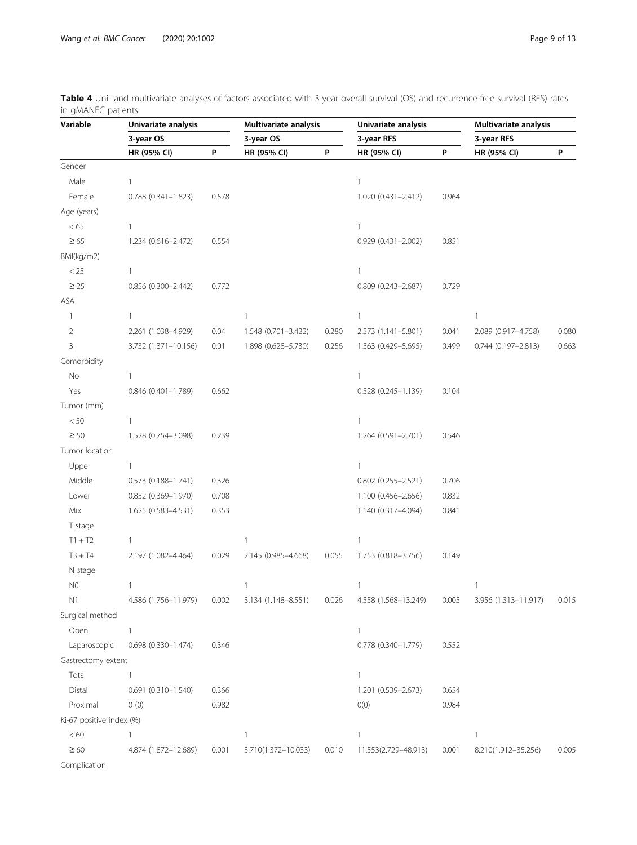| Variable                 | Univariate analysis    |       | Multivariate analysis |       | Univariate analysis    |       | Multivariate analysis  |       |  |
|--------------------------|------------------------|-------|-----------------------|-------|------------------------|-------|------------------------|-------|--|
|                          | 3-year OS              |       | 3-year OS             |       | 3-year RFS             |       | 3-year RFS             |       |  |
|                          | HR (95% CI)            | P     | HR (95% CI)           | P     | HR (95% CI)            | P     | HR (95% CI)            | P     |  |
| Gender                   |                        |       |                       |       |                        |       |                        |       |  |
| Male                     | $\mathbf{1}$           |       |                       |       | $\mathbf{1}$           |       |                        |       |  |
| Female                   | $0.788(0.341 - 1.823)$ | 0.578 |                       |       | 1.020 (0.431-2.412)    | 0.964 |                        |       |  |
| Age (years)              |                        |       |                       |       |                        |       |                        |       |  |
| < 65                     | $\mathbf{1}$           |       |                       |       | $\mathbf{1}$           |       |                        |       |  |
| $\geq 65$                | 1.234 (0.616-2.472)    | 0.554 |                       |       | 0.929 (0.431-2.002)    | 0.851 |                        |       |  |
| BMI(kg/m2)               |                        |       |                       |       |                        |       |                        |       |  |
| $<25\,$                  | $\mathbf{1}$           |       |                       |       | $\mathbf{1}$           |       |                        |       |  |
| $\geq 25$                | 0.856 (0.300-2.442)    | 0.772 |                       |       | $0.809(0.243 - 2.687)$ | 0.729 |                        |       |  |
| ASA                      |                        |       |                       |       |                        |       |                        |       |  |
| 1                        | $\mathbf{1}$           |       | 1                     |       | $\mathbf{1}$           |       | $\mathbf{1}$           |       |  |
| $\sqrt{2}$               | 2.261 (1.038-4.929)    | 0.04  | 1.548 (0.701-3.422)   | 0.280 | 2.573 (1.141-5.801)    | 0.041 | 2.089 (0.917-4.758)    | 0.080 |  |
| 3                        | 3.732 (1.371-10.156)   | 0.01  | 1.898 (0.628-5.730)   | 0.256 | 1.563 (0.429-5.695)    | 0.499 | $0.744(0.197 - 2.813)$ | 0.663 |  |
| Comorbidity              |                        |       |                       |       |                        |       |                        |       |  |
| $\rm No$                 | 1                      |       |                       |       | 1                      |       |                        |       |  |
| Yes                      | $0.846$ (0.401-1.789)  | 0.662 |                       |       | $0.528(0.245 - 1.139)$ | 0.104 |                        |       |  |
| Tumor (mm)               |                        |       |                       |       |                        |       |                        |       |  |
| $< 50$                   | 1                      |       |                       |       | 1                      |       |                        |       |  |
| $\geq 50$                | 1.528 (0.754-3.098)    | 0.239 |                       |       | 1.264 (0.591-2.701)    | 0.546 |                        |       |  |
| Tumor location           |                        |       |                       |       |                        |       |                        |       |  |
| Upper                    | 1                      |       |                       |       | $\mathbf{1}$           |       |                        |       |  |
| Middle                   | $0.573(0.188 - 1.741)$ | 0.326 |                       |       | $0.802$ (0.255-2.521)  | 0.706 |                        |       |  |
| Lower                    | $0.852(0.369 - 1.970)$ | 0.708 |                       |       | 1.100 (0.456-2.656)    | 0.832 |                        |       |  |
| Mix                      | 1.625 (0.583-4.531)    | 0.353 |                       |       | 1.140 (0.317-4.094)    | 0.841 |                        |       |  |
| T stage                  |                        |       |                       |       |                        |       |                        |       |  |
| $T1 + T2$                | $\mathbf{1}$           |       | 1                     |       | $\mathbf{1}$           |       |                        |       |  |
| $T3 + T4$                | 2.197 (1.082-4.464)    | 0.029 | 2.145 (0.985-4.668)   | 0.055 | 1.753 (0.818-3.756)    | 0.149 |                        |       |  |
| N stage                  |                        |       |                       |       |                        |       |                        |       |  |
| N <sub>0</sub>           | $\mathbf{1}$           |       | 1                     |       | $\mathbf{1}$           |       | $\mathbf{1}$           |       |  |
| N1                       | 4.586 (1.756-11.979)   | 0.002 | 3.134 (1.148-8.551)   | 0.026 | 4.558 (1.568-13.249)   | 0.005 | 3.956 (1.313-11.917)   | 0.015 |  |
| Surgical method          |                        |       |                       |       |                        |       |                        |       |  |
| Open                     | 1                      |       |                       |       | $\mathbf{1}$           |       |                        |       |  |
| Laparoscopic             | $0.698(0.330 - 1.474)$ | 0.346 |                       |       | 0.778 (0.340-1.779)    | 0.552 |                        |       |  |
| Gastrectomy extent       |                        |       |                       |       |                        |       |                        |       |  |
| Total                    | $\mathbf{1}$           |       |                       |       | $\mathbf{1}$           |       |                        |       |  |
| Distal                   | $0.691(0.310 - 1.540)$ | 0.366 |                       |       | 1.201 (0.539-2.673)    | 0.654 |                        |       |  |
| Proximal                 | 0(0)                   | 0.982 |                       |       | O(0)                   | 0.984 |                        |       |  |
| Ki-67 positive index (%) |                        |       |                       |       |                        |       |                        |       |  |
| < 60                     | 1                      |       | 1                     |       | $\mathbf{1}$           |       | $\mathbf{1}$           |       |  |
| $\geq 60$                | 4.874 (1.872-12.689)   | 0.001 | 3.710(1.372-10.033)   | 0.010 | 11.553(2.729-48.913)   | 0.001 | 8.210(1.912-35.256)    | 0.005 |  |
| Complication             |                        |       |                       |       |                        |       |                        |       |  |

<span id="page-8-0"></span>Table 4 Uni- and multivariate analyses of factors associated with 3-year overall survival (OS) and recurrence-free survival (RFS) rates in gMANEC patients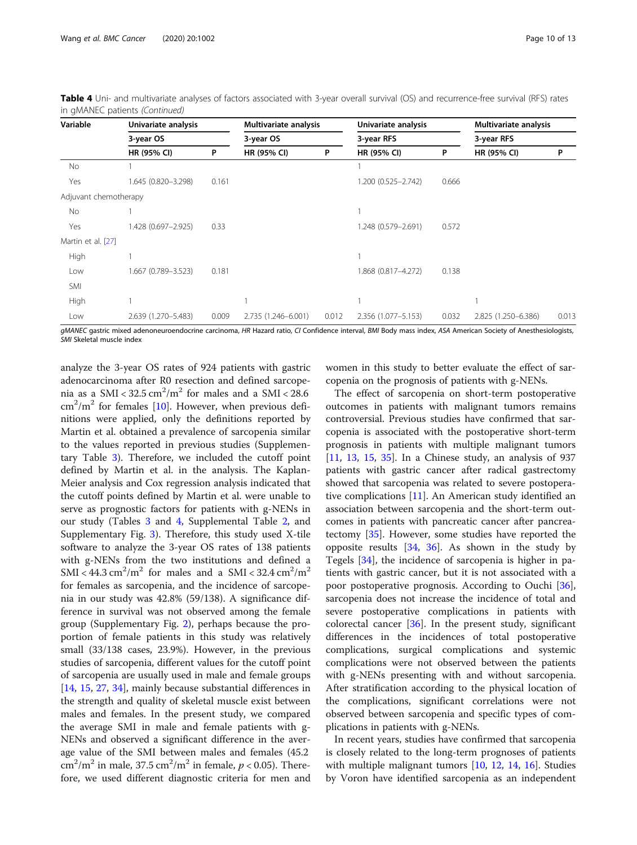| Variable              | Univariate analysis | 3-year OS |                     | Multivariate analysis<br>3-year OS |                     | Univariate analysis<br>3-year RFS |                     | Multivariate analysis<br>3-year RFS |  |
|-----------------------|---------------------|-----------|---------------------|------------------------------------|---------------------|-----------------------------------|---------------------|-------------------------------------|--|
|                       |                     |           |                     |                                    |                     |                                   |                     |                                     |  |
|                       | HR (95% CI)         | P         | HR (95% CI)         | P                                  | HR (95% CI)         | P                                 | HR (95% CI)         | P                                   |  |
| No.                   |                     |           |                     |                                    |                     |                                   |                     |                                     |  |
| Yes                   | 1.645 (0.820-3.298) | 0.161     |                     |                                    | 1.200 (0.525-2.742) | 0.666                             |                     |                                     |  |
| Adjuvant chemotherapy |                     |           |                     |                                    |                     |                                   |                     |                                     |  |
| No                    |                     |           |                     |                                    |                     |                                   |                     |                                     |  |
| Yes                   | 1.428 (0.697-2.925) | 0.33      |                     |                                    | 1.248 (0.579-2.691) | 0.572                             |                     |                                     |  |
| Martin et al. [27]    |                     |           |                     |                                    |                     |                                   |                     |                                     |  |
| High                  |                     |           |                     |                                    |                     |                                   |                     |                                     |  |
| Low                   | 1.667 (0.789-3.523) | 0.181     |                     |                                    | 1.868 (0.817-4.272) | 0.138                             |                     |                                     |  |
| SMI                   |                     |           |                     |                                    |                     |                                   |                     |                                     |  |
| High                  |                     |           |                     |                                    |                     |                                   |                     |                                     |  |
| Low                   | 2.639 (1.270-5.483) | 0.009     | 2.735 (1.246-6.001) | 0.012                              | 2.356 (1.077-5.153) | 0.032                             | 2.825 (1.250-6.386) | 0.013                               |  |

Table 4 Uni- and multivariate analyses of factors associated with 3-year overall survival (OS) and recurrence-free survival (RFS) rates in gMANEC patients (Continued)

gMANEC gastric mixed adenoneuroendocrine carcinoma, HR Hazard ratio, CI Confidence interval, BMI Body mass index, ASA American Society of Anesthesiologists, SMI Skeletal muscle index

analyze the 3-year OS rates of 924 patients with gastric adenocarcinoma after R0 resection and defined sarcopenia as a SMI <  $32.5 \text{ cm}^2/\text{m}^2$  for males and a SMI <  $28.6$  $\text{cm}^2/\text{m}^2$  for females [[10\]](#page-11-0). However, when previous definitions were applied, only the definitions reported by Martin et al. obtained a prevalence of sarcopenia similar to the values reported in previous studies (Supplementary Table [3\)](#page-11-0). Therefore, we included the cutoff point defined by Martin et al. in the analysis. The Kaplan-Meier analysis and Cox regression analysis indicated that the cutoff points defined by Martin et al. were unable to serve as prognostic factors for patients with g-NENs in our study (Tables [3](#page-6-0) and [4,](#page-8-0) Supplemental Table [2,](#page-11-0) and Supplementary Fig. [3](#page-11-0)). Therefore, this study used X-tile software to analyze the 3-year OS rates of 138 patients with g-NENs from the two institutions and defined a SMI <  $44.3 \text{ cm}^2/\text{m}^2$  for males and a SMI <  $32.4 \text{ cm}^2/\text{m}^2$ for females as sarcopenia, and the incidence of sarcopenia in our study was 42.8% (59/138). A significance difference in survival was not observed among the female group (Supplementary Fig. [2\)](#page-11-0), perhaps because the proportion of female patients in this study was relatively small (33/138 cases, 23.9%). However, in the previous studies of sarcopenia, different values for the cutoff point of sarcopenia are usually used in male and female groups [[14,](#page-12-0) [15,](#page-12-0) [27,](#page-12-0) [34\]](#page-12-0), mainly because substantial differences in the strength and quality of skeletal muscle exist between males and females. In the present study, we compared the average SMI in male and female patients with g-NENs and observed a significant difference in the average value of the SMI between males and females (45.2  $\text{cm}^2/\text{m}^2$  in male, 37.5  $\text{cm}^2/\text{m}^2$  in female,  $p < 0.05$ ). Therefore, we used different diagnostic criteria for men and women in this study to better evaluate the effect of sarcopenia on the prognosis of patients with g-NENs.

The effect of sarcopenia on short-term postoperative outcomes in patients with malignant tumors remains controversial. Previous studies have confirmed that sarcopenia is associated with the postoperative short-term prognosis in patients with multiple malignant tumors [[11,](#page-11-0) [13,](#page-12-0) [15](#page-12-0), [35](#page-12-0)]. In a Chinese study, an analysis of 937 patients with gastric cancer after radical gastrectomy showed that sarcopenia was related to severe postoperative complications [[11](#page-11-0)]. An American study identified an association between sarcopenia and the short-term outcomes in patients with pancreatic cancer after pancreatectomy [[35\]](#page-12-0). However, some studies have reported the opposite results [[34,](#page-12-0) [36\]](#page-12-0). As shown in the study by Tegels [[34\]](#page-12-0), the incidence of sarcopenia is higher in patients with gastric cancer, but it is not associated with a poor postoperative prognosis. According to Ouchi [\[36](#page-12-0)], sarcopenia does not increase the incidence of total and severe postoperative complications in patients with colorectal cancer [\[36](#page-12-0)]. In the present study, significant differences in the incidences of total postoperative complications, surgical complications and systemic complications were not observed between the patients with g-NENs presenting with and without sarcopenia. After stratification according to the physical location of the complications, significant correlations were not observed between sarcopenia and specific types of complications in patients with g-NENs.

In recent years, studies have confirmed that sarcopenia is closely related to the long-term prognoses of patients with multiple malignant tumors [[10,](#page-11-0) [12](#page-11-0), [14,](#page-12-0) [16](#page-12-0)]. Studies by Voron have identified sarcopenia as an independent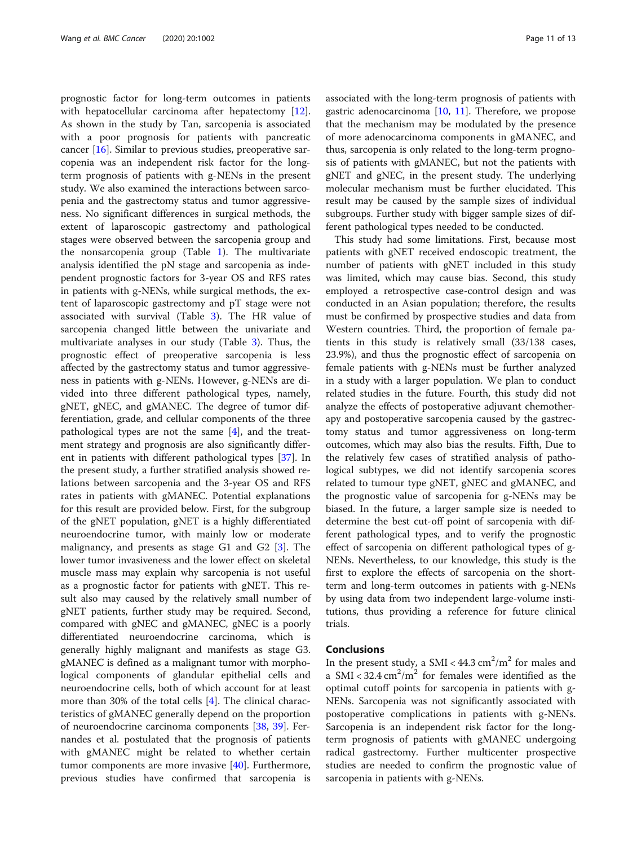prognostic factor for long-term outcomes in patients with hepatocellular carcinoma after hepatectomy [\[12](#page-11-0)]. As shown in the study by Tan, sarcopenia is associated with a poor prognosis for patients with pancreatic cancer [\[16](#page-12-0)]. Similar to previous studies, preoperative sarcopenia was an independent risk factor for the longterm prognosis of patients with g-NENs in the present study. We also examined the interactions between sarcopenia and the gastrectomy status and tumor aggressiveness. No significant differences in surgical methods, the extent of laparoscopic gastrectomy and pathological stages were observed between the sarcopenia group and the nonsarcopenia group (Table [1](#page-3-0)). The multivariate analysis identified the pN stage and sarcopenia as independent prognostic factors for 3-year OS and RFS rates in patients with g-NENs, while surgical methods, the extent of laparoscopic gastrectomy and pT stage were not associated with survival (Table [3](#page-6-0)). The HR value of sarcopenia changed little between the univariate and multivariate analyses in our study (Table [3](#page-6-0)). Thus, the prognostic effect of preoperative sarcopenia is less affected by the gastrectomy status and tumor aggressiveness in patients with g-NENs. However, g-NENs are divided into three different pathological types, namely, gNET, gNEC, and gMANEC. The degree of tumor differentiation, grade, and cellular components of the three pathological types are not the same [[4\]](#page-11-0), and the treatment strategy and prognosis are also significantly different in patients with different pathological types [[37\]](#page-12-0). In the present study, a further stratified analysis showed relations between sarcopenia and the 3-year OS and RFS rates in patients with gMANEC. Potential explanations for this result are provided below. First, for the subgroup of the gNET population, gNET is a highly differentiated neuroendocrine tumor, with mainly low or moderate malignancy, and presents as stage G1 and G2 [[3\]](#page-11-0). The lower tumor invasiveness and the lower effect on skeletal muscle mass may explain why sarcopenia is not useful as a prognostic factor for patients with gNET. This result also may caused by the relatively small number of gNET patients, further study may be required. Second, compared with gNEC and gMANEC, gNEC is a poorly differentiated neuroendocrine carcinoma, which is generally highly malignant and manifests as stage G3. gMANEC is defined as a malignant tumor with morphological components of glandular epithelial cells and neuroendocrine cells, both of which account for at least more than 30% of the total cells [\[4](#page-11-0)]. The clinical characteristics of gMANEC generally depend on the proportion of neuroendocrine carcinoma components [\[38](#page-12-0), [39\]](#page-12-0). Fernandes et al. postulated that the prognosis of patients with gMANEC might be related to whether certain tumor components are more invasive [[40\]](#page-12-0). Furthermore, previous studies have confirmed that sarcopenia is associated with the long-term prognosis of patients with gastric adenocarcinoma  $[10, 11]$  $[10, 11]$  $[10, 11]$  $[10, 11]$ . Therefore, we propose that the mechanism may be modulated by the presence of more adenocarcinoma components in gMANEC, and thus, sarcopenia is only related to the long-term prognosis of patients with gMANEC, but not the patients with gNET and gNEC, in the present study. The underlying molecular mechanism must be further elucidated. This result may be caused by the sample sizes of individual subgroups. Further study with bigger sample sizes of different pathological types needed to be conducted.

This study had some limitations. First, because most patients with gNET received endoscopic treatment, the number of patients with gNET included in this study was limited, which may cause bias. Second, this study employed a retrospective case-control design and was conducted in an Asian population; therefore, the results must be confirmed by prospective studies and data from Western countries. Third, the proportion of female patients in this study is relatively small (33/138 cases, 23.9%), and thus the prognostic effect of sarcopenia on female patients with g-NENs must be further analyzed in a study with a larger population. We plan to conduct related studies in the future. Fourth, this study did not analyze the effects of postoperative adjuvant chemotherapy and postoperative sarcopenia caused by the gastrectomy status and tumor aggressiveness on long-term outcomes, which may also bias the results. Fifth, Due to the relatively few cases of stratified analysis of pathological subtypes, we did not identify sarcopenia scores related to tumour type gNET, gNEC and gMANEC, and the prognostic value of sarcopenia for g-NENs may be biased. In the future, a larger sample size is needed to determine the best cut-off point of sarcopenia with different pathological types, and to verify the prognostic effect of sarcopenia on different pathological types of g-NENs. Nevertheless, to our knowledge, this study is the first to explore the effects of sarcopenia on the shortterm and long-term outcomes in patients with g-NENs by using data from two independent large-volume institutions, thus providing a reference for future clinical trials.

# Conclusions

In the present study, a SMI <  $44.3 \text{ cm}^2/\text{m}^2$  for males and a SMI <  $32.4 \text{ cm}^2/\text{m}^2$  for females were identified as the optimal cutoff points for sarcopenia in patients with g-NENs. Sarcopenia was not significantly associated with postoperative complications in patients with g-NENs. Sarcopenia is an independent risk factor for the longterm prognosis of patients with gMANEC undergoing radical gastrectomy. Further multicenter prospective studies are needed to confirm the prognostic value of sarcopenia in patients with g-NENs.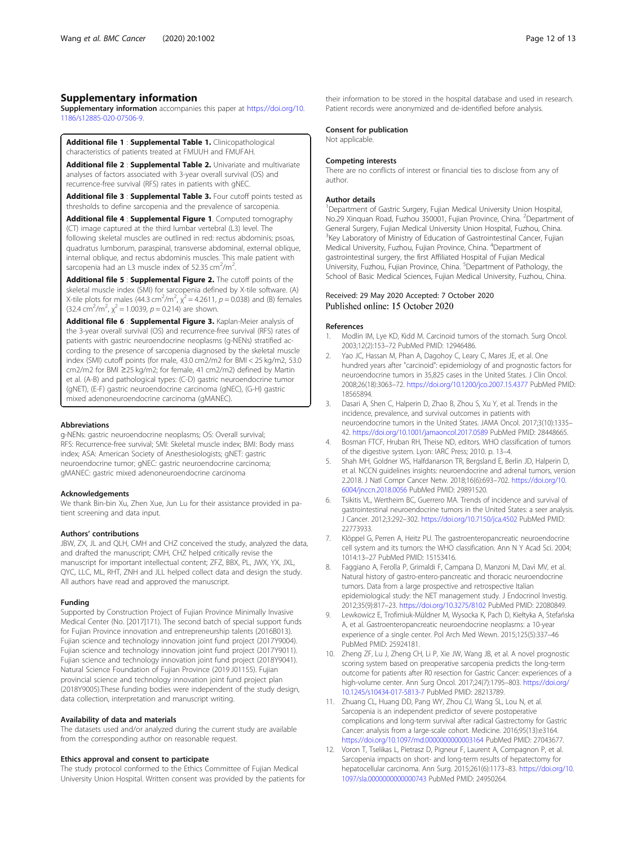# <span id="page-11-0"></span>Supplementary information

Supplementary information accompanies this paper at [https://doi.org/10.](https://doi.org/10.1186/s12885-020-07506-9) [1186/s12885-020-07506-9](https://doi.org/10.1186/s12885-020-07506-9).

Additional file 1 : Supplemental Table 1. Clinicopathological characteristics of patients treated at FMUUH and FMUFAH.

Additional file 2 : Supplemental Table 2. Univariate and multivariate analyses of factors associated with 3-year overall survival (OS) and recurrence-free survival (RFS) rates in patients with gNEC.

Additional file 3 : Supplemental Table 3. Four cutoff points tested as thresholds to define sarcopenia and the prevalence of sarcopenia.

Additional file 4 : Supplemental Figure 1. Computed tomography (CT) image captured at the third lumbar vertebral (L3) level. The following skeletal muscles are outlined in red: rectus abdominis; psoas, quadratus lumborum, paraspinal, transverse abdominal, external oblique, internal oblique, and rectus abdominis muscles. This male patient with sarcopenia had an L3 muscle index of 52.35  $\text{cm}^2/\text{m}^2$ .

Additional file 5 : Supplemental Figure 2. The cutoff points of the skeletal muscle index (SMI) for sarcopenia defined by X-tile software. (A) X-tile plots for males (44.3 cm<sup>2</sup>/m<sup>2</sup>,  $\chi^2$  = 4.2611, p = 0.038) and (B) females  $(32.4 \text{ cm}^2/\text{m}^2, \chi^2 = 1.0039, p = 0.214)$  are shown.

Additional file 6 : Supplemental Figure 3. Kaplan-Meier analysis of the 3-year overall survival (OS) and recurrence-free survival (RFS) rates of patients with gastric neuroendocrine neoplasms (g-NENs) stratified according to the presence of sarcopenia diagnosed by the skeletal muscle index (SMI) cutoff points (for male, 43.0 cm2/m2 for BMI < 25 kg/m2, 53.0 cm2/m2 for BMI ≥25 kg/m2; for female, 41 cm2/m2) defined by Martin et al. (A-B) and pathological types: (C-D) gastric neuroendocrine tumor (gNET), (E-F) gastric neuroendocrine carcinoma (gNEC), (G-H) gastric mixed adenoneuroendocrine carcinoma (gMANEC).

#### Abbreviations

g-NENs: gastric neuroendocrine neoplasms; OS: Overall survival; RFS: Recurrence-free survival; SMI: Skeletal muscle index; BMI: Body mass index; ASA: American Society of Anesthesiologists; gNET: gastric neuroendocrine tumor; gNEC: gastric neuroendocrine carcinoma; gMANEC: gastric mixed adenoneuroendocrine carcinoma

#### Acknowledgements

We thank Bin-bin Xu, Zhen Xue, Jun Lu for their assistance provided in patient screening and data input.

#### Authors' contributions

JBW, ZX, JL and QLH, CMH and CHZ conceived the study, analyzed the data, and drafted the manuscript; CMH, CHZ helped critically revise the manuscript for important intellectual content; ZFZ, BBX, PL, JWX, YX, JXL, QYC, LLC, ML, RHT, ZNH and JLL helped collect data and design the study. All authors have read and approved the manuscript.

#### Funding

Supported by Construction Project of Fujian Province Minimally Invasive Medical Center (No. [2017]171). The second batch of special support funds for Fujian Province innovation and entrepreneurship talents (2016B013). Fujian science and technology innovation joint fund project (2017Y9004). Fujian science and technology innovation joint fund project (2017Y9011). Fujian science and technology innovation joint fund project (2018Y9041). Natural Science Foundation of Fujian Province (2019 J01155). Fujian provincial science and technology innovation joint fund project plan (2018Y9005).These funding bodies were independent of the study design, data collection, interpretation and manuscript writing.

#### Availability of data and materials

The datasets used and/or analyzed during the current study are available from the corresponding author on reasonable request.

#### Ethics approval and consent to participate

The study protocol conformed to the Ethics Committee of Fujian Medical University Union Hospital. Written consent was provided by the patients for their information to be stored in the hospital database and used in research. Patient records were anonymized and de-identified before analysis.

#### Consent for publication

Not applicable.

### Competing interests

There are no conflicts of interest or financial ties to disclose from any of author.

#### Author details

<sup>1</sup>Department of Gastric Surgery, Fujian Medical University Union Hospital, No.29 Xinquan Road, Fuzhou 350001, Fujian Province, China. <sup>2</sup>Department of General Surgery, Fujian Medical University Union Hospital, Fuzhou, China. <sup>3</sup> Key Laboratory of Ministry of Education of Gastrointestinal Cancer, Fujian Medical University, Fuzhou, Fujian Province, China. <sup>4</sup> Department of gastrointestinal surgery, the first Affiliated Hospital of Fujian Medical University, Fuzhou, Fujian Province, China. <sup>5</sup>Department of Pathology, the School of Basic Medical Sciences, Fujian Medical University, Fuzhou, China.

# Received: 29 May 2020 Accepted: 7 October 2020<br>Published online: 15 October 2020

# References

- 1. Modlin IM, Lye KD, Kidd M. Carcinoid tumors of the stomach. Surg Oncol. 2003;12(2):153–72 PubMed PMID: 12946486.
- 2. Yao JC, Hassan M, Phan A, Dagohoy C, Leary C, Mares JE, et al. One hundred years after "carcinoid": epidemiology of and prognostic factors for neuroendocrine tumors in 35,825 cases in the United States. J Clin Oncol. 2008;26(18):3063–72. <https://doi.org/10.1200/jco.2007.15.4377> PubMed PMID: 18565894.
- 3. Dasari A, Shen C, Halperin D, Zhao B, Zhou S, Xu Y, et al. Trends in the incidence, prevalence, and survival outcomes in patients with neuroendocrine tumors in the United States. JAMA Oncol. 2017;3(10):1335– 42. <https://doi.org/10.1001/jamaoncol.2017.0589> PubMed PMID: 28448665.
- 4. Bosman FTCF, Hruban RH, Theise ND, editors. WHO classification of tumors of the digestive system. Lyon: IARC Press; 2010. p. 13–4.
- 5. Shah MH, Goldner WS, Halfdanarson TR, Bergsland E, Berlin JD, Halperin D, et al. NCCN guidelines insights: neuroendocrine and adrenal tumors, version 2.2018. J Natl Compr Cancer Netw. 2018;16(6):693–702. [https://doi.org/10.](https://doi.org/10.6004/jnccn.2018.0056) [6004/jnccn.2018.0056](https://doi.org/10.6004/jnccn.2018.0056) PubMed PMID: 29891520.
- 6. Tsikitis VL, Wertheim BC, Guerrero MA. Trends of incidence and survival of gastrointestinal neuroendocrine tumors in the United States: a seer analysis. J Cancer. 2012;3:292–302. <https://doi.org/10.7150/jca.4502> PubMed PMID: 22773933.
- 7. Klöppel G, Perren A, Heitz PU. The gastroenteropancreatic neuroendocrine cell system and its tumors: the WHO classification. Ann N Y Acad Sci. 2004; 1014:13–27 PubMed PMID: 15153416.
- 8. Faggiano A, Ferolla P, Grimaldi F, Campana D, Manzoni M, Davì MV, et al. Natural history of gastro-entero-pancreatic and thoracic neuroendocrine tumors. Data from a large prospective and retrospective Italian epidemiological study: the NET management study. J Endocrinol Investig. 2012;35(9):817–23. <https://doi.org/10.3275/8102> PubMed PMID: 22080849.
- 9. Lewkowicz E, Trofimiuk-Müldner M, Wysocka K, Pach D, Kiełtyka A, Stefańska A, et al. Gastroenteropancreatic neuroendocrine neoplasms: a 10-year experience of a single center. Pol Arch Med Wewn. 2015;125(5):337–46 PubMed PMID: 25924181.
- 10. Zheng ZF, Lu J, Zheng CH, Li P, Xie JW, Wang JB, et al. A novel prognostic scoring system based on preoperative sarcopenia predicts the long-term outcome for patients after R0 resection for Gastric Cancer: experiences of a high-volume center. Ann Surg Oncol. 2017;24(7):1795–803. [https://doi.org/](https://doi.org/10.1245/s10434-017-5813-7) [10.1245/s10434-017-5813-7](https://doi.org/10.1245/s10434-017-5813-7) PubMed PMID: 28213789.
- 11. Zhuang CL, Huang DD, Pang WY, Zhou CJ, Wang SL, Lou N, et al. Sarcopenia is an independent predictor of severe postoperative complications and long-term survival after radical Gastrectomy for Gastric Cancer: analysis from a large-scale cohort. Medicine. 2016;95(13):e3164. <https://doi.org/10.1097/md.0000000000003164> PubMed PMID: 27043677.
- 12. Voron T, Tselikas L, Pietrasz D, Pigneur F, Laurent A, Compagnon P, et al. Sarcopenia impacts on short- and long-term results of hepatectomy for hepatocellular carcinoma. Ann Surg. 2015;261(6):1173–83. [https://doi.org/10.](https://doi.org/10.1097/sla.0000000000000743) [1097/sla.0000000000000743](https://doi.org/10.1097/sla.0000000000000743) PubMed PMID: 24950264.